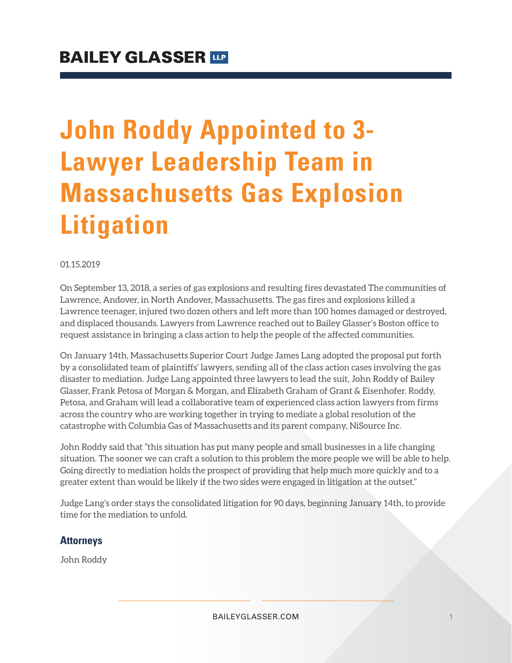# **John Roddy Appointed to 3- Lawyer Leadership Team in Massachusetts Gas Explosion Litigation**

#### 01.15.2019

On September 13, 2018, a series of gas explosions and resulting fires devastated The communities of Lawrence, Andover, in North Andover, Massachusetts. The gas fires and explosions killed a Lawrence teenager, injured two dozen others and left more than 100 homes damaged or destroyed, and displaced thousands. Lawyers from Lawrence reached out to Bailey Glasser's Boston office to request assistance in bringing a class action to help the people of the affected communities.

On January 14th, Massachusetts Superior Court Judge James Lang adopted the proposal put forth by a consolidated team of plaintiffs' lawyers, sending all of the class action cases involving the gas disaster to mediation. Judge Lang appointed three lawyers to lead the suit, John Roddy of Bailey Glasser, Frank Petosa of Morgan & Morgan, and Elizabeth Graham of Grant & Eisenhofer. Roddy, Petosa, and Graham will lead a collaborative team of experienced class action lawyers from firms across the country who are working together in trying to mediate a global resolution of the catastrophe with Columbia Gas of Massachusetts and its parent company, NiSource Inc.

John Roddy said that "this situation has put many people and small businesses in a life changing situation. The sooner we can craft a solution to this problem the more people we will be able to help. Going directly to mediation holds the prospect of providing that help much more quickly and to a greater extent than would be likely if the two sides were engaged in litigation at the outset."

Judge Lang's order stays the consolidated litigation for 90 days, beginning January 14th, to provide time for the mediation to unfold.

#### **Attorneys**

John Roddy